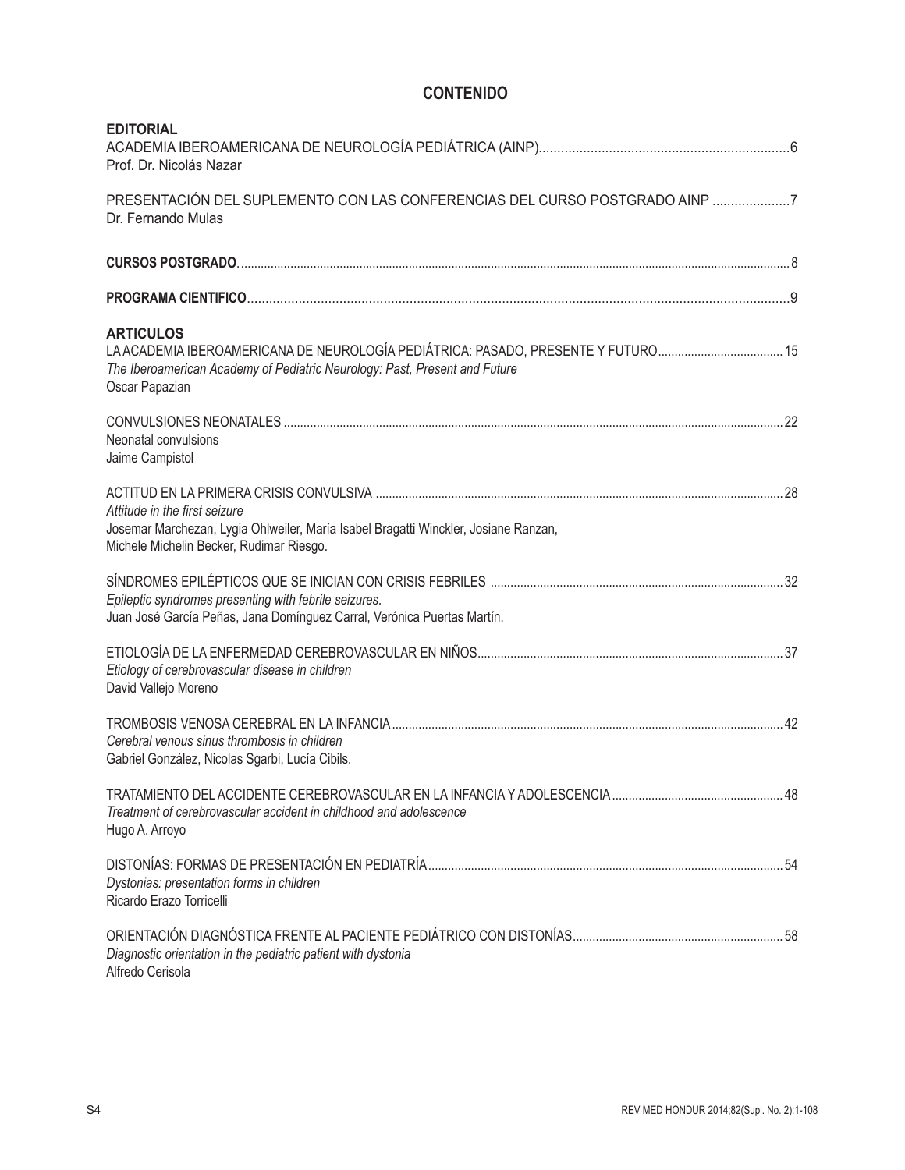## **CONTENIDO**

| <b>EDITORIAL</b><br>Prof. Dr. Nicolás Nazar                                                                                                                                                        |  |
|----------------------------------------------------------------------------------------------------------------------------------------------------------------------------------------------------|--|
| PRESENTACIÓN DEL SUPLEMENTO CON LAS CONFERENCIAS DEL CURSO POSTGRADO AINP 7<br>Dr. Fernando Mulas                                                                                                  |  |
|                                                                                                                                                                                                    |  |
|                                                                                                                                                                                                    |  |
| <b>ARTICULOS</b><br>LA ACADEMIA IBEROAMERICANA DE NEUROLOGÍA PEDIÁTRICA: PASADO, PRESENTE Y FUTURO<br>The Iberoamerican Academy of Pediatric Neurology: Past, Present and Future<br>Oscar Papazian |  |
| Neonatal convulsions<br>Jaime Campistol                                                                                                                                                            |  |
| Attitude in the first seizure<br>Josemar Marchezan, Lygia Ohlweiler, María Isabel Bragatti Winckler, Josiane Ranzan,<br>Michele Michelin Becker, Rudimar Riesgo.                                   |  |
| Epileptic syndromes presenting with febrile seizures.<br>Juan José García Peñas, Jana Domínguez Carral, Verónica Puertas Martín.                                                                   |  |
| Etiology of cerebrovascular disease in children<br>David Vallejo Moreno                                                                                                                            |  |
| Cerebral venous sinus thrombosis in children<br>Gabriel González, Nicolas Sgarbi, Lucía Cibils.                                                                                                    |  |
| Treatment of cerebrovascular accident in childhood and adolescence<br>Hugo A. Arroyo                                                                                                               |  |
| Dystonias: presentation forms in children<br>Ricardo Erazo Torricelli                                                                                                                              |  |
| Diagnostic orientation in the pediatric patient with dystonia<br>Alfredo Cerisola                                                                                                                  |  |